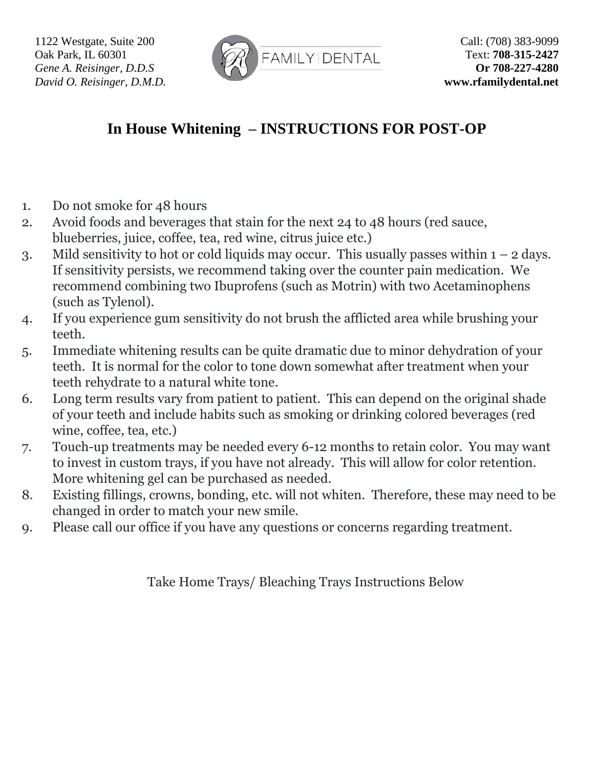

## **In House Whitening – INSTRUCTIONS FOR POST-OP**

- 1. Do not smoke for 48 hours
- 2. Avoid foods and beverages that stain for the next 24 to 48 hours (red sauce, blueberries, juice, coffee, tea, red wine, citrus juice etc.)
- 3. Mild sensitivity to hot or cold liquids may occur. This usually passes within  $1 2$  days. If sensitivity persists, we recommend taking over the counter pain medication. We recommend combining two Ibuprofens (such as Motrin) with two Acetaminophens (such as Tylenol).
- 4. If you experience gum sensitivity do not brush the afflicted area while brushing your teeth.
- 5. Immediate whitening results can be quite dramatic due to minor dehydration of your teeth. It is normal for the color to tone down somewhat after treatment when your teeth rehydrate to a natural white tone.
- 6. Long term results vary from patient to patient. This can depend on the original shade of your teeth and include habits such as smoking or drinking colored beverages (red wine, coffee, tea, etc.)
- 7. Touch-up treatments may be needed every 6-12 months to retain color. You may want to invest in custom trays, if you have not already. This will allow for color retention. More whitening gel can be purchased as needed.
- 8. Existing fillings, crowns, bonding, etc. will not whiten. Therefore, these may need to be changed in order to match your new smile.
- 9. Please call our office if you have any questions or concerns regarding treatment.

Take Home Trays/ Bleaching Trays Instructions Below